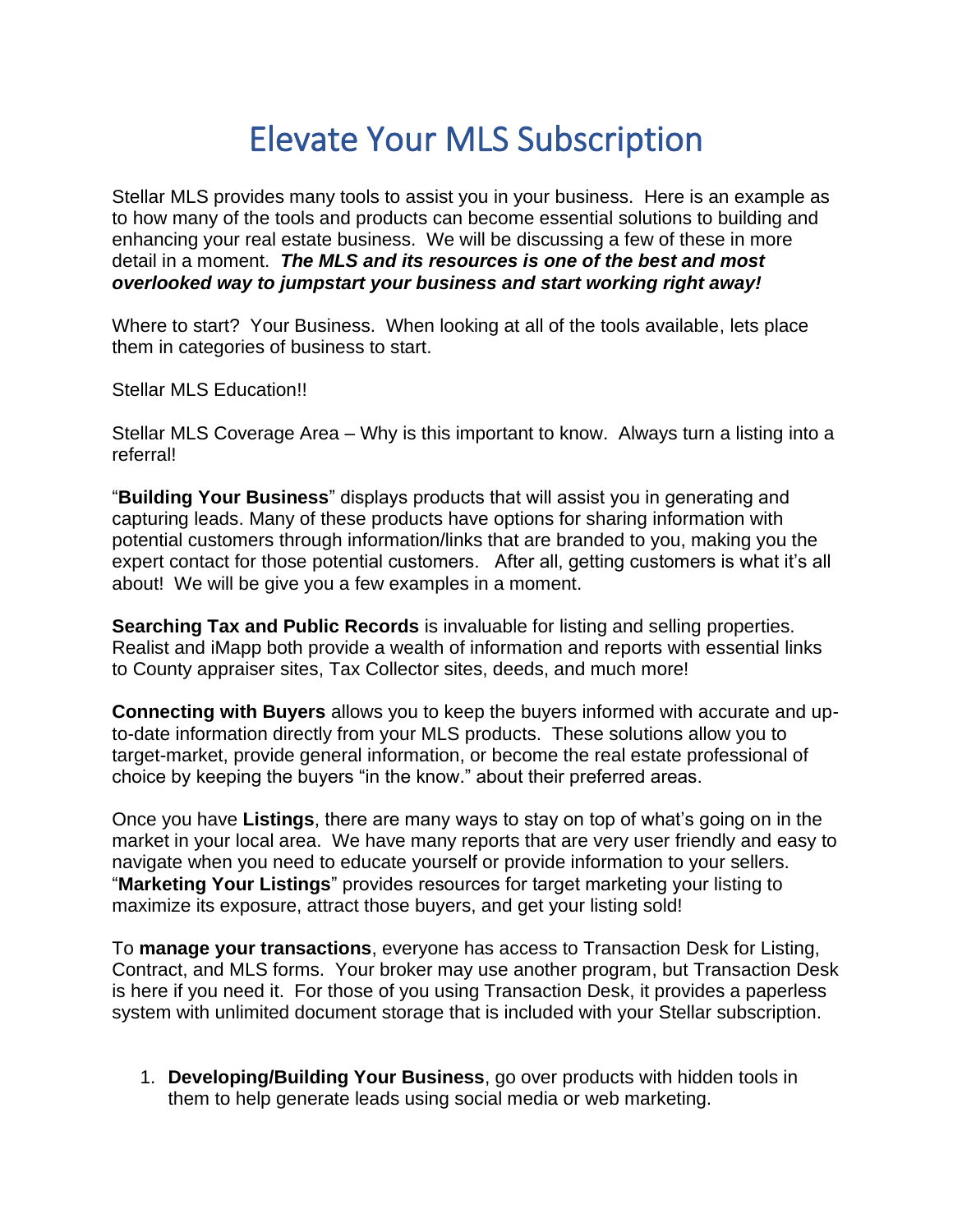# Elevate Your MLS Subscription

Stellar MLS provides many tools to assist you in your business. Here is an example as to how many of the tools and products can become essential solutions to building and enhancing your real estate business. We will be discussing a few of these in more detail in a moment. *The MLS and its resources is one of the best and most overlooked way to jumpstart your business and start working right away!*

Where to start? Your Business. When looking at all of the tools available, lets place them in categories of business to start.

Stellar MLS Education!!

Stellar MLS Coverage Area – Why is this important to know. Always turn a listing into a referral!

"**Building Your Business**" displays products that will assist you in generating and capturing leads. Many of these products have options for sharing information with potential customers through information/links that are branded to you, making you the expert contact for those potential customers. After all, getting customers is what it's all about! We will be give you a few examples in a moment.

**Searching Tax and Public Records** is invaluable for listing and selling properties. Realist and iMapp both provide a wealth of information and reports with essential links to County appraiser sites, Tax Collector sites, deeds, and much more!

**Connecting with Buyers** allows you to keep the buyers informed with accurate and upto-date information directly from your MLS products. These solutions allow you to target-market, provide general information, or become the real estate professional of choice by keeping the buyers "in the know." about their preferred areas.

Once you have **Listings**, there are many ways to stay on top of what's going on in the market in your local area. We have many reports that are very user friendly and easy to navigate when you need to educate yourself or provide information to your sellers. "**Marketing Your Listings**" provides resources for target marketing your listing to maximize its exposure, attract those buyers, and get your listing sold!

To **manage your transactions**, everyone has access to Transaction Desk for Listing, Contract, and MLS forms. Your broker may use another program, but Transaction Desk is here if you need it. For those of you using Transaction Desk, it provides a paperless system with unlimited document storage that is included with your Stellar subscription.

1. **Developing/Building Your Business**, go over products with hidden tools in them to help generate leads using social media or web marketing.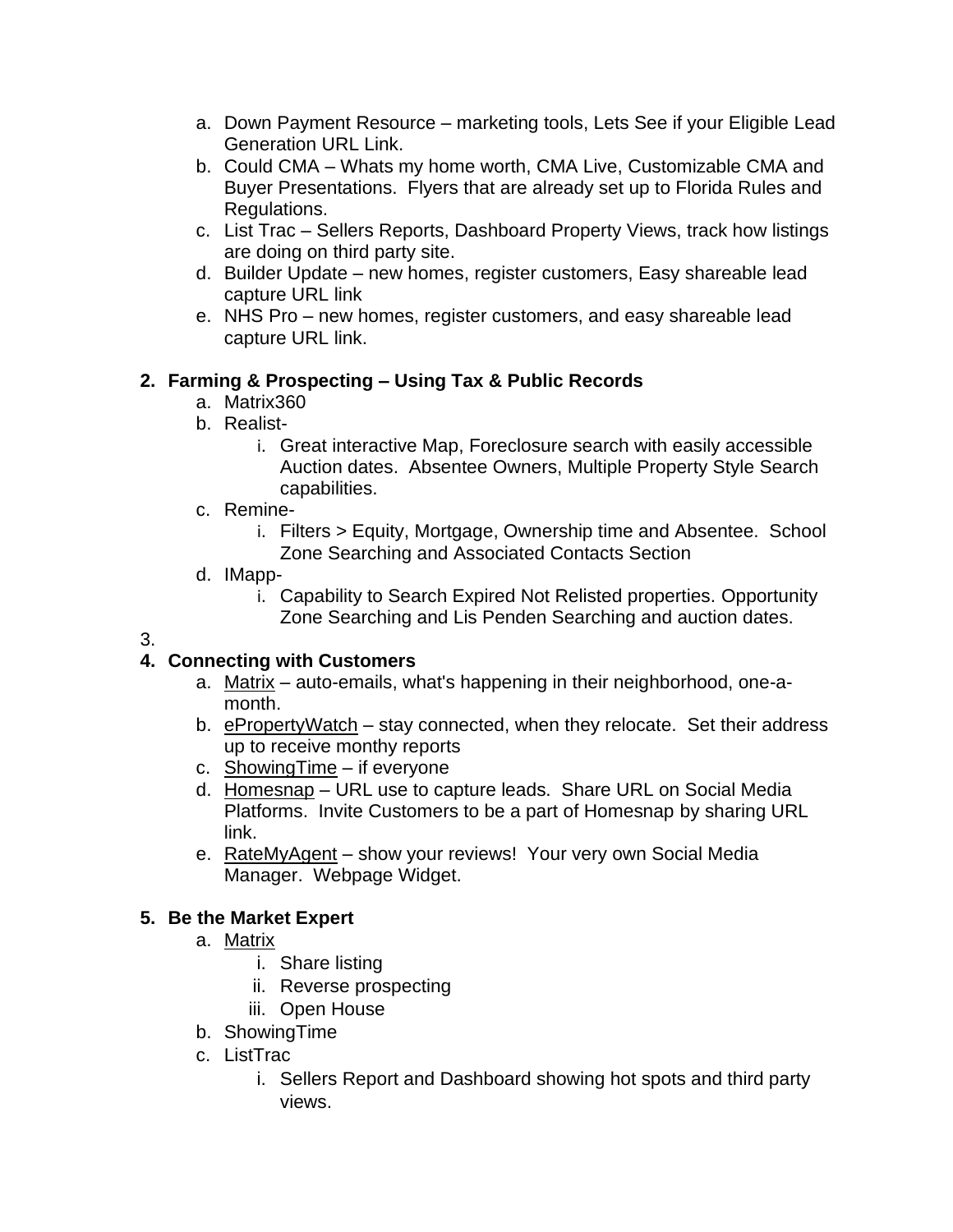- a. Down Payment Resource marketing tools, Lets See if your Eligible Lead Generation URL Link.
- b. Could CMA Whats my home worth, CMA Live, Customizable CMA and Buyer Presentations. Flyers that are already set up to Florida Rules and Regulations.
- c. List Trac Sellers Reports, Dashboard Property Views, track how listings are doing on third party site.
- d. Builder Update new homes, register customers, Easy shareable lead capture URL link
- e. NHS Pro new homes, register customers, and easy shareable lead capture URL link.

### **2. Farming & Prospecting – Using Tax & Public Records**

- a. Matrix360
- b. Realist
	- i. Great interactive Map, Foreclosure search with easily accessible Auction dates. Absentee Owners, Multiple Property Style Search capabilities.
- c. Remine
	- i. Filters > Equity, Mortgage, Ownership time and Absentee. School Zone Searching and Associated Contacts Section
- d. IMapp
	- i. Capability to Search Expired Not Relisted properties. Opportunity Zone Searching and Lis Penden Searching and auction dates.
- 3.

## **4. Connecting with Customers**

- a. Matrix auto-emails, what's happening in their neighborhood, one-amonth.
- b. ePropertyWatch stay connected, when they relocate. Set their address up to receive monthy reports
- c. Showing Time if everyone
- d. Homesnap URL use to capture leads. Share URL on Social Media Platforms. Invite Customers to be a part of Homesnap by sharing URL link.
- e. RateMyAgent show your reviews! Your very own Social Media Manager. Webpage Widget.

#### **5. Be the Market Expert**

- a. Matrix
	- i. Share listing
	- ii. Reverse prospecting
	- iii. Open House
- b. ShowingTime
- c. ListTrac
	- i. Sellers Report and Dashboard showing hot spots and third party views.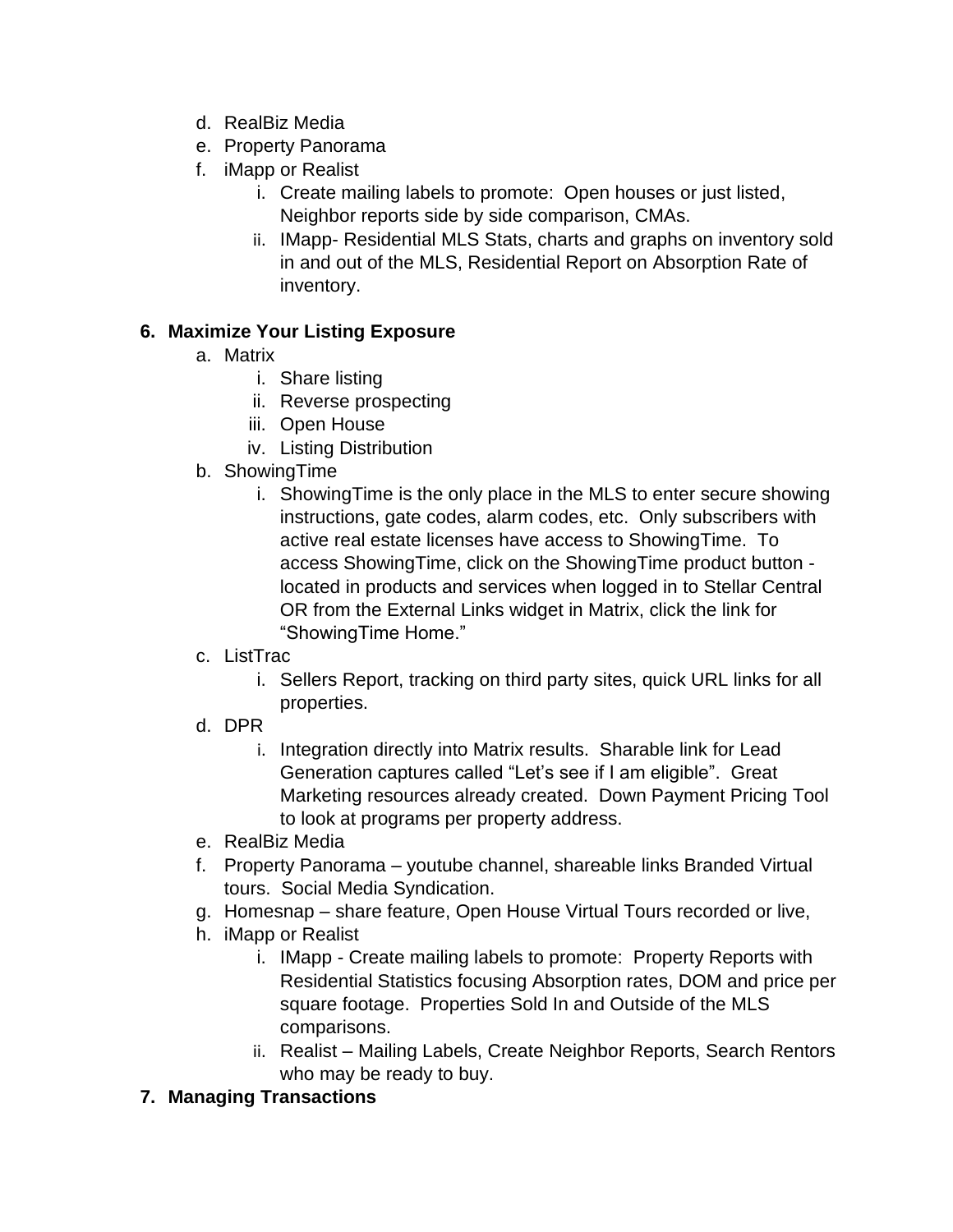- d. RealBiz Media
- e. Property Panorama
- f. iMapp or Realist
	- i. Create mailing labels to promote: Open houses or just listed, Neighbor reports side by side comparison, CMAs.
	- ii. IMapp- Residential MLS Stats, charts and graphs on inventory sold in and out of the MLS, Residential Report on Absorption Rate of inventory.

## **6. Maximize Your Listing Exposure**

- a. Matrix
	- i. Share listing
	- ii. Reverse prospecting
	- iii. Open House
	- iv. Listing Distribution
- b. ShowingTime
	- i. ShowingTime is the only place in the MLS to enter secure showing instructions, gate codes, alarm codes, etc. Only subscribers with active real estate licenses have access to ShowingTime. To access ShowingTime, click on the ShowingTime product button located in products and services when logged in to Stellar Central OR from the External Links widget in Matrix, click the link for "ShowingTime Home."

## c. ListTrac

- i. Sellers Report, tracking on third party sites, quick URL links for all properties.
- d. DPR
	- i. Integration directly into Matrix results. Sharable link for Lead Generation captures called "Let's see if I am eligible". Great Marketing resources already created. Down Payment Pricing Tool to look at programs per property address.
- e. RealBiz Media
- f. Property Panorama youtube channel, shareable links Branded Virtual tours. Social Media Syndication.
- g. Homesnap share feature, Open House Virtual Tours recorded or live,
- h. iMapp or Realist
	- i. IMapp Create mailing labels to promote: Property Reports with Residential Statistics focusing Absorption rates, DOM and price per square footage. Properties Sold In and Outside of the MLS comparisons.
	- ii. Realist Mailing Labels, Create Neighbor Reports, Search Rentors who may be ready to buy.

## **7. Managing Transactions**